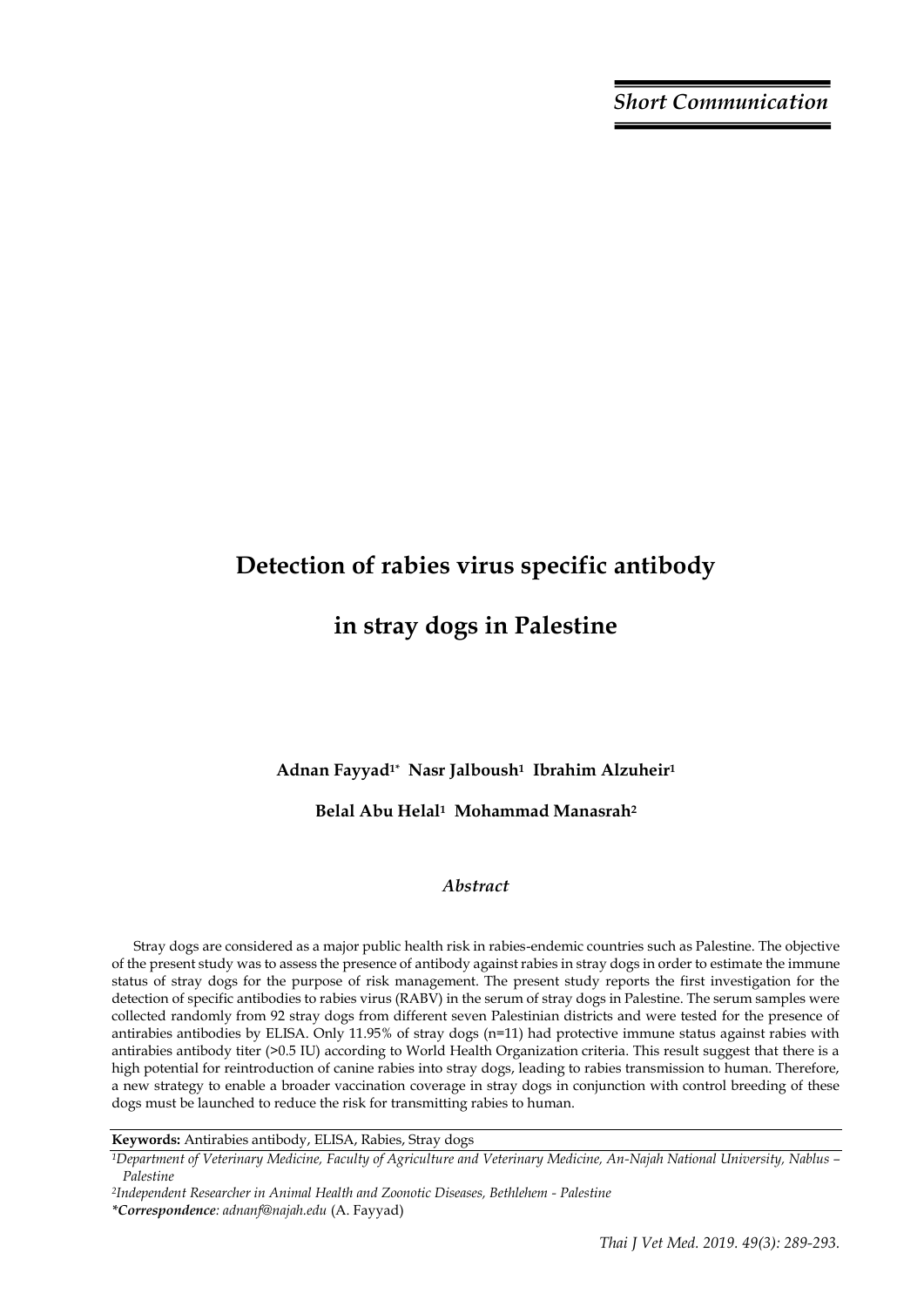*Short Communication*

# **Detection of rabies virus specific antibody**

## **in stray dogs in Palestine**

**Adnan Fayyad1\* Nasr Jalboush1 Ibrahim Alzuheir<sup>1</sup>** 

### **Belal Abu Helal1 Mohammad Manasrah<sup>2</sup>**

### *Abstract*

Stray dogs are considered as a major public health risk in rabies-endemic countries such as Palestine. The objective of the present study was to assess the presence of antibody against rabies in stray dogs in order to estimate the immune status of stray dogs for the purpose of risk management. The present study reports the first investigation for the detection of specific antibodies to rabies virus (RABV) in the serum of stray dogs in Palestine. The serum samples were collected randomly from 92 stray dogs from different seven Palestinian districts and were tested for the presence of antirabies antibodies by ELISA. Only 11.95% of stray dogs (n=11) had protective immune status against rabies with antirabies antibody titer (>0.5 IU) according to World Health Organization criteria. This result suggest that there is a high potential for reintroduction of canine rabies into stray dogs, leading to rabies transmission to human. Therefore, a new strategy to enable a broader vaccination coverage in stray dogs in conjunction with control breeding of these dogs must be launched to reduce the risk for transmitting rabies to human.

**Keywords:** Antirabies antibody, ELISA, Rabies, Stray dogs

*<sup>1</sup>Department of Veterinary Medicine, Faculty of Agriculture and Veterinary Medicine, An-Najah National University, Nablus – Palestine*

*<sup>2</sup>Independent Researcher in Animal Health and Zoonotic Diseases, Bethlehem - Palestine \*Correspondence: adnanf@najah.edu* (A. Fayyad)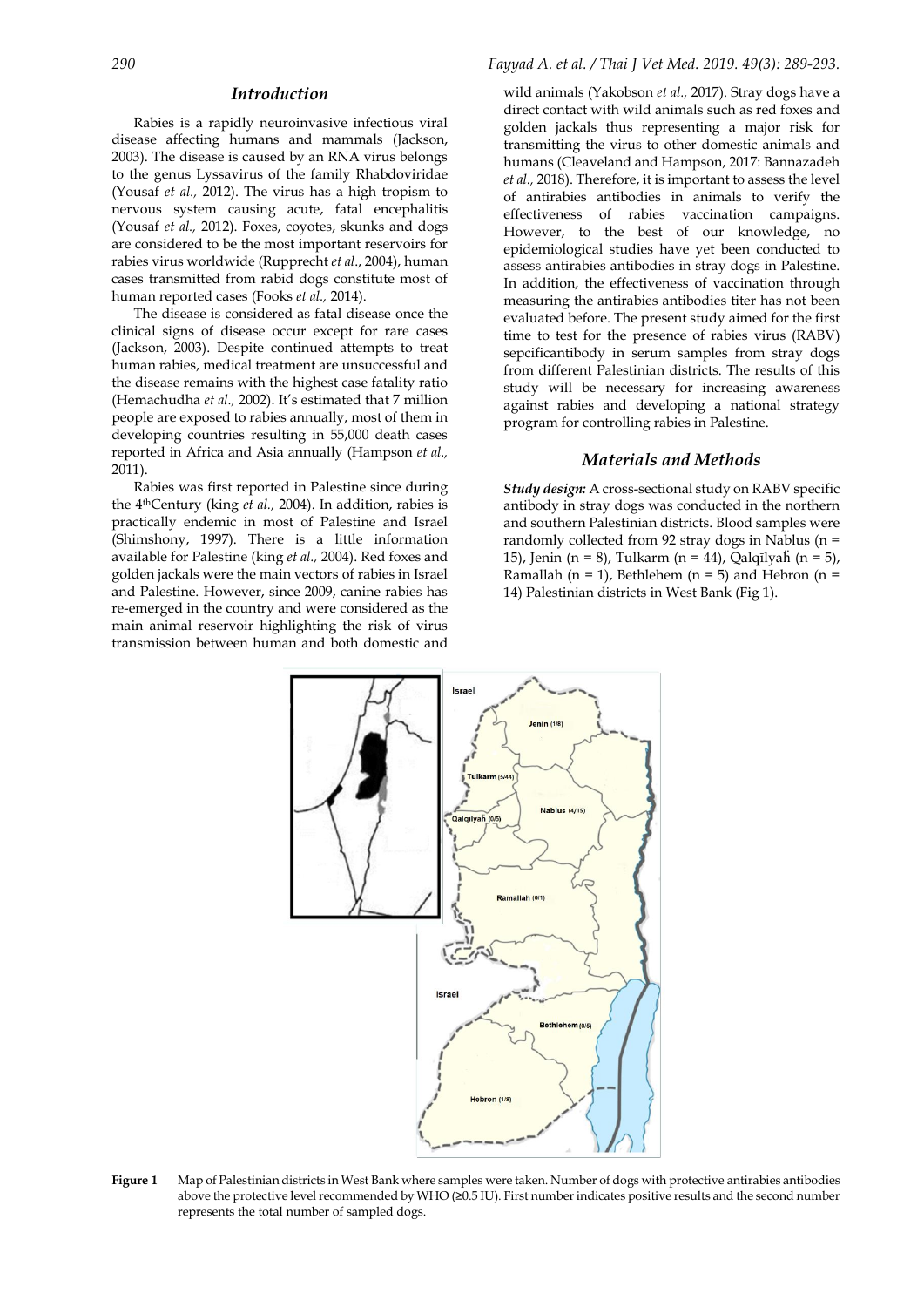#### *Introduction*

Rabies is a rapidly neuroinvasive infectious viral disease affecting humans and mammals (Jackson, 2003). The disease is caused by an RNA virus belongs to the genus Lyssavirus of the family Rhabdoviridae (Yousaf *et al.,* 2012). The virus has a high tropism to nervous system causing acute, fatal encephalitis (Yousaf *et al.,* 2012). Foxes, coyotes, skunks and dogs are considered to be the most important reservoirs for rabies virus worldwide (Rupprecht *et al*., 2004), human cases transmitted from rabid dogs constitute most of human reported cases (Fooks *et al.,* 2014).

The disease is considered as fatal disease once the clinical signs of disease occur except for rare cases (Jackson, 2003). Despite continued attempts to treat human rabies, medical treatment are unsuccessful and the disease remains with the highest case fatality ratio (Hemachudha *et al.,* 2002). It's estimated that 7 million people are exposed to rabies annually, most of them in developing countries resulting in 55,000 death cases reported in Africa and Asia annually (Hampson *et al.,* 2011).

Rabies was first reported in Palestine since during the 4thCentury (king *et al.,* 2004). In addition, rabies is practically endemic in most of Palestine and Israel (Shimshony, 1997). There is a little information available for Palestine (king *et al.,* 2004). Red foxes and golden jackals were the main vectors of rabies in Israel and Palestine. However, since 2009, canine rabies has re-emerged in the country and were considered as the main animal reservoir highlighting the risk of virus transmission between human and both domestic and

#### *290 Fayyad A. et al. / Thai J Vet Med. 2019. 49(3): 289-293.*

wild animals (Yakobson *et al.,* 2017). Stray dogs have a direct contact with wild animals such as red foxes and golden jackals thus representing a major risk for transmitting the virus to other domestic animals and humans (Cleaveland and Hampson, 2017: Bannazadeh *et al.,* 2018). Therefore, it is important to assess the level of antirabies antibodies in animals to verify the effectiveness of rabies vaccination campaigns. However, to the best of our knowledge, no epidemiological studies have yet been conducted to assess antirabies antibodies in stray dogs in Palestine. In addition, the effectiveness of vaccination through measuring the antirabies antibodies titer has not been evaluated before. The present study aimed for the first time to test for the presence of rabies virus (RABV) sepcificantibody in serum samples from stray dogs from different Palestinian districts. The results of this study will be necessary for increasing awareness against rabies and developing a national strategy program for controlling rabies in Palestine.

#### *Materials and Methods*

*Study design:* A cross-sectional study on RABV specific antibody in stray dogs was conducted in the northern and southern Palestinian districts. Blood samples were randomly collected from 92 stray dogs in Nablus (n = 15), Jenin (n = 8), Tulkarm (n = 44), Qalqīlyaḧ (n = 5), Ramallah (n = 1), Bethlehem (n = 5) and Hebron (n = 14) Palestinian districts in West Bank (Fig 1).



**Figure 1** Map of Palestinian districts in West Bank where samples were taken. Number of dogs with protective antirabies antibodies above the protective level recommended by WHO (≥0.5 IU). First number indicates positive results and the second number represents the total number of sampled dogs.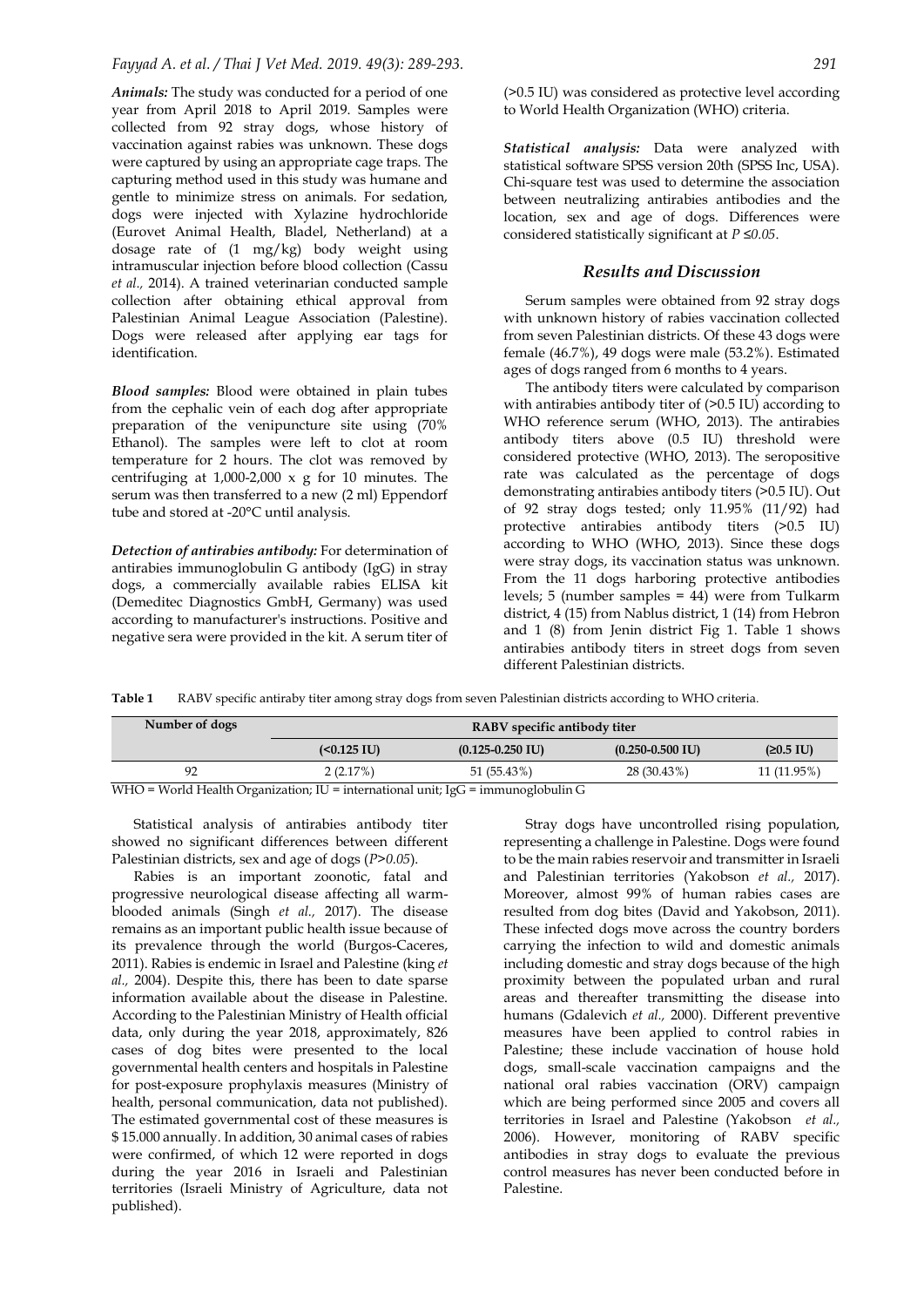*Animals:* The study was conducted for a period of one year from April 2018 to April 2019. Samples were collected from 92 stray dogs, whose history of vaccination against rabies was unknown. These dogs were captured by using an appropriate cage traps. The capturing method used in this study was humane and gentle to minimize stress on animals. For sedation, dogs were injected with Xylazine hydrochloride (Eurovet Animal Health, Bladel, Netherland) at a dosage rate of (1 mg/kg) body weight using intramuscular injection before blood collection (Cassu *et al.,* 2014). A trained veterinarian conducted sample collection after obtaining ethical approval from Palestinian Animal League Association (Palestine). Dogs were released after applying ear tags for identification.

*Blood samples:* Blood were obtained in plain tubes from the cephalic vein of each dog after appropriate preparation of the venipuncture site using (70% Ethanol). The samples were left to clot at room temperature for 2 hours. The clot was removed by centrifuging at  $1,000$ -2,000 x g for 10 minutes. The serum was then transferred to a new (2 ml) Eppendorf tube and stored at -20°C until analysis.

*Detection of antirabies antibody:* For determination of antirabies immunoglobulin G antibody (IgG) in stray dogs, a commercially available rabies ELISA kit (Demeditec Diagnostics GmbH, Germany) was used according to manufacturer's instructions. Positive and negative sera were provided in the kit. A serum titer of (>0.5 IU) was considered as protective level according to World Health Organization (WHO) criteria.

*Statistical analysis:* Data were analyzed with statistical software SPSS version 20th (SPSS Inc, USA). Chi-square test was used to determine the association between neutralizing antirabies antibodies and the location, sex and age of dogs. Differences were considered statistically significant at *P ≤0.05*.

#### *Results and Discussion*

Serum samples were obtained from 92 stray dogs with unknown history of rabies vaccination collected from seven Palestinian districts. Of these 43 dogs were female (46.7%), 49 dogs were male (53.2%). Estimated ages of dogs ranged from 6 months to 4 years.

The antibody titers were calculated by comparison with antirabies antibody titer of  $(>0.5$  IU) according to WHO reference serum (WHO, 2013). The antirabies antibody titers above (0.5 IU) threshold were considered protective (WHO, 2013). The seropositive rate was calculated as the percentage of dogs demonstrating antirabies antibody titers (>0.5 IU). Out of 92 stray dogs tested; only 11.95% (11/92) had protective antirabies antibody titers (>0.5 IU) according to WHO (WHO, 2013). Since these dogs were stray dogs, its vaccination status was unknown. From the 11 dogs harboring protective antibodies levels; 5 (number samples = 44) were from Tulkarm district, 4 (15) from Nablus district, 1 (14) from Hebron and 1 (8) from Jenin district Fig 1. Table 1 shows antirabies antibody titers in street dogs from seven different Palestinian districts.

**Table 1** RABV specific antiraby titer among stray dogs from seven Palestinian districts according to WHO criteria.

| Number of dogs | RABV specific antibody titer |                      |                      |                     |
|----------------|------------------------------|----------------------|----------------------|---------------------|
|                | $(0.125 IU)$                 | $(0.125 - 0.250$ IU) | $(0.250 - 0.500$ IU) | $(20.5 \text{ IU})$ |
| 92             | 2(2.17%)                     | 51 (55.43%)          | 28 (30.43%)          | 11 (11.95%)         |

WHO = World Health Organization; IU = international unit; IgG = immunoglobulin G

Statistical analysis of antirabies antibody titer showed no significant differences between different Palestinian districts, sex and age of dogs (*P>0.05*).

Rabies is an important zoonotic, fatal and progressive neurological disease affecting all warmblooded animals (Singh *et al.,* 2017). The disease remains as an important public health issue because of its prevalence through the world (Burgos-Caceres, 2011). Rabies is endemic in Israel and Palestine (king *et al.,* 2004). Despite this, there has been to date sparse information available about the disease in Palestine. According to the Palestinian Ministry of Health official data, only during the year 2018, approximately, 826 cases of dog bites were presented to the local governmental health centers and hospitals in Palestine for post-exposure prophylaxis measures (Ministry of health, personal communication, data not published). The estimated governmental cost of these measures is \$ 15.000 annually. In addition, 30 animal cases of rabies were confirmed, of which 12 were reported in dogs during the year 2016 in Israeli and Palestinian territories (Israeli Ministry of Agriculture, data not published).

Stray dogs have uncontrolled rising population, representing a challenge in Palestine. Dogs were found to be the main rabies reservoir and transmitter in Israeli and Palestinian territories (Yakobson *et al.,* 2017). Moreover, almost 99% of human rabies cases are resulted from dog bites (David and Yakobson, 2011). These infected dogs move across the country borders carrying the infection to wild and domestic animals including domestic and stray dogs because of the high proximity between the populated urban and rural areas and thereafter transmitting the disease into humans (Gdalevich *et al.,* 2000). Different preventive measures have been applied to control rabies in Palestine; these include vaccination of house hold dogs, small-scale vaccination campaigns and the national oral rabies vaccination (ORV) campaign which are being performed since 2005 and covers all territories in Israel and Palestine (Yakobson *et al.,* 2006). However, monitoring of RABV specific antibodies in stray dogs to evaluate the previous control measures has never been conducted before in Palestine.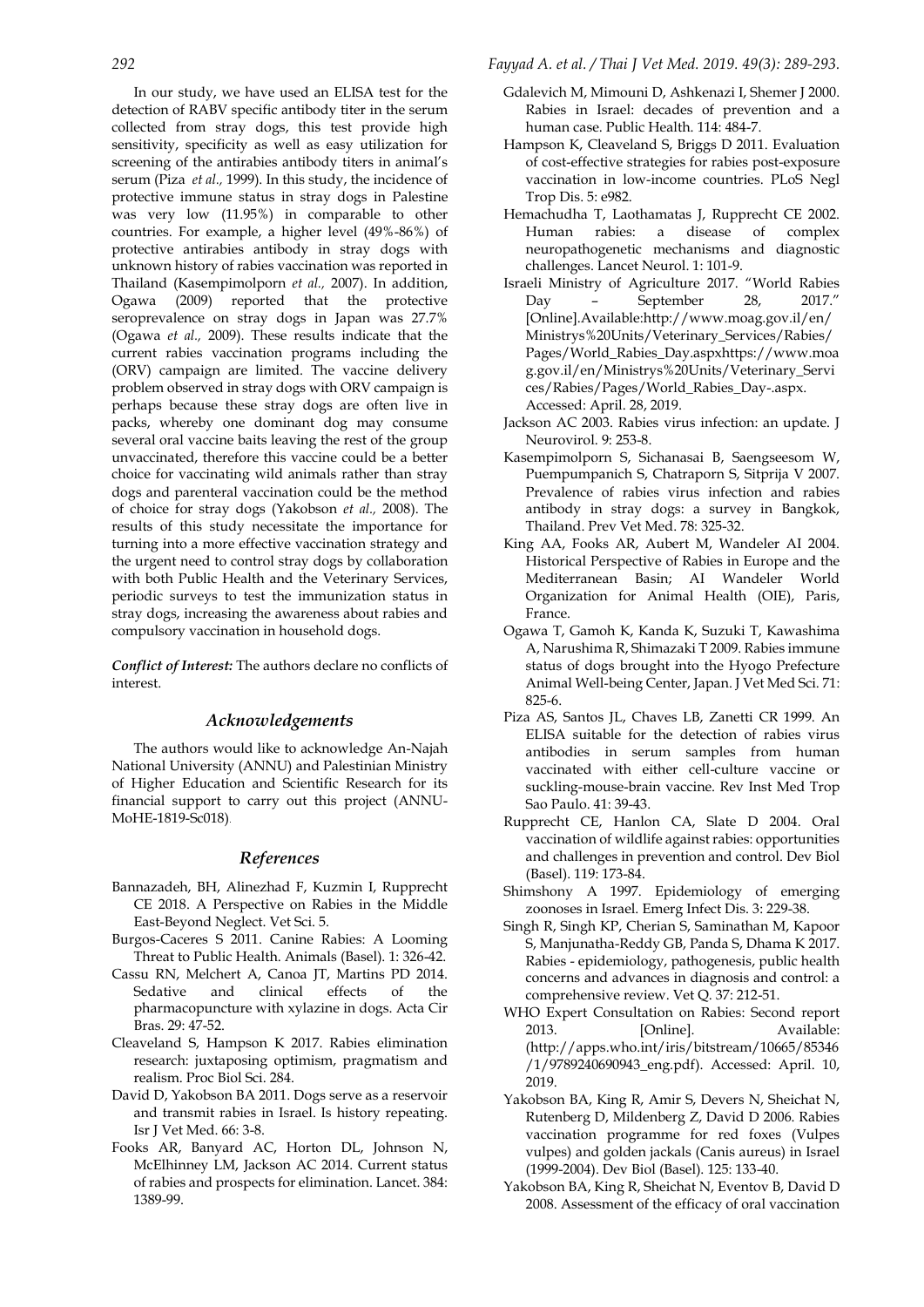In our study, we have used an ELISA test for the detection of RABV specific antibody titer in the serum collected from stray dogs, this test provide high sensitivity, specificity as well as easy utilization for screening of the antirabies antibody titers in animal's serum (Piza *et al.,* 1999). In this study, the incidence of protective immune status in stray dogs in Palestine was very low (11.95%) in comparable to other countries. For example, a higher level (49%-86%) of protective antirabies antibody in stray dogs with unknown history of rabies vaccination was reported in Thailand (Kasempimolporn *et al.,* 2007). In addition, Ogawa (2009) reported that the protective seroprevalence on stray dogs in Japan was 27.7% (Ogawa *et al.,* 2009). These results indicate that the current rabies vaccination programs including the (ORV) campaign are limited. The vaccine delivery problem observed in stray dogs with ORV campaign is perhaps because these stray dogs are often live in packs, whereby one dominant dog may consume several oral vaccine baits leaving the rest of the group unvaccinated, therefore this vaccine could be a better choice for vaccinating wild animals rather than stray dogs and parenteral vaccination could be the method of choice for stray dogs (Yakobson *et al.,* 2008). The results of this study necessitate the importance for turning into a more effective vaccination strategy and the urgent need to control stray dogs by collaboration with both Public Health and the Veterinary Services, periodic surveys to test the immunization status in stray dogs, increasing the awareness about rabies and compulsory vaccination in household dogs.

*Conflict of Interest:* The authors declare no conflicts of interest.

#### *Acknowledgements*

The authors would like to acknowledge An-Najah National University (ANNU) and Palestinian Ministry of Higher Education and Scientific Research for its financial support to carry out this project (ANNU-MoHE-1819-Sc018).

#### *References*

- Bannazadeh, BH, Alinezhad F, Kuzmin I, Rupprecht CE 2018. A Perspective on Rabies in the Middle East-Beyond Neglect. Vet Sci. 5.
- Burgos-Caceres S 2011. Canine Rabies: A Looming Threat to Public Health. Animals (Basel). 1: 326-42.
- Cassu RN, Melchert A, Canoa JT, Martins PD 2014. Sedative and clinical effects of the pharmacopuncture with xylazine in dogs. Acta Cir Bras. 29: 47-52.
- Cleaveland S, Hampson K 2017. Rabies elimination research: juxtaposing optimism, pragmatism and realism. Proc Biol Sci. 284.
- David D, Yakobson BA 2011. Dogs serve as a reservoir and transmit rabies in Israel. Is history repeating. Isr J Vet Med. 66: 3-8.
- Fooks AR, Banyard AC, Horton DL, Johnson N, McElhinney LM, Jackson AC 2014. Current status of rabies and prospects for elimination. Lancet. 384: 1389-99.

#### *292 Fayyad A. et al. / Thai J Vet Med. 2019. 49(3): 289-293.*

- Gdalevich M, Mimouni D, Ashkenazi I, Shemer J 2000. Rabies in Israel: decades of prevention and a human case. Public Health. 114: 484-7.
- Hampson K, Cleaveland S, Briggs D 2011. Evaluation of cost-effective strategies for rabies post-exposure vaccination in low-income countries. PLoS Negl Trop Dis. 5: e982.
- Hemachudha T, Laothamatas J, Rupprecht CE 2002. Human rabies: a disease of complex neuropathogenetic mechanisms and diagnostic challenges. Lancet Neurol. 1: 101-9.
- Israeli Ministry of Agriculture 2017. "World Rabies Day – September 28, 2017." [Online].Available:http://www.moag.gov.il/en/ Ministrys%20Units/Veterinary\_Services/Rabies/ Pages/World\_Rabies\_Day.aspxhttps://www.moa g.gov.il/en/Ministrys%20Units/Veterinary\_Servi ces/Rabies/Pages/World\_Rabies\_Day-.aspx. Accessed: April. 28, 2019.
- Jackson AC 2003. Rabies virus infection: an update. J Neurovirol. 9: 253-8.
- Kasempimolporn S, Sichanasai B, Saengseesom W, Puempumpanich S, Chatraporn S, Sitprija V 2007. Prevalence of rabies virus infection and rabies antibody in stray dogs: a survey in Bangkok, Thailand. Prev Vet Med. 78: 325-32.
- King AA, Fooks AR, Aubert M, Wandeler AI 2004. Historical Perspective of Rabies in Europe and the Mediterranean Basin; AI Wandeler World Organization for Animal Health (OIE), Paris, France.
- Ogawa T, Gamoh K, Kanda K, Suzuki T, Kawashima A, Narushima R, Shimazaki T 2009. Rabies immune status of dogs brought into the Hyogo Prefecture Animal Well-being Center, Japan. J Vet Med Sci. 71: 825-6.
- Piza AS, Santos JL, Chaves LB, Zanetti CR 1999. An ELISA suitable for the detection of rabies virus antibodies in serum samples from human vaccinated with either cell-culture vaccine or suckling-mouse-brain vaccine. Rev Inst Med Trop Sao Paulo. 41: 39-43.
- Rupprecht CE, Hanlon CA, Slate D 2004. Oral vaccination of wildlife against rabies: opportunities and challenges in prevention and control. Dev Biol (Basel). 119: 173-84.
- Shimshony A 1997. Epidemiology of emerging zoonoses in Israel. Emerg Infect Dis. 3: 229-38.
- Singh R, Singh KP, Cherian S, Saminathan M, Kapoor S, Manjunatha-Reddy GB, Panda S, Dhama K 2017. Rabies - epidemiology, pathogenesis, public health concerns and advances in diagnosis and control: a comprehensive review. Vet Q. 37: 212-51.
- WHO Expert Consultation on Rabies: Second report 2013. [Online]. Available: [\(http://apps.who.int/iris/bitstream/10665/85346](http://apps.who.int/iris/bitstream/10665/85346/1/9789240690943_eng.pdf) [/1/9789240690943\\_eng.pdf\)](http://apps.who.int/iris/bitstream/10665/85346/1/9789240690943_eng.pdf). Accessed: April. 10, 2019.
- Yakobson BA, King R, Amir S, Devers N, Sheichat N, Rutenberg D, Mildenberg Z, David D 2006. Rabies vaccination programme for red foxes (Vulpes vulpes) and golden jackals (Canis aureus) in Israel (1999-2004). Dev Biol (Basel). 125: 133-40.
- Yakobson BA, King R, Sheichat N, Eventov B, David D 2008. Assessment of the efficacy of oral vaccination